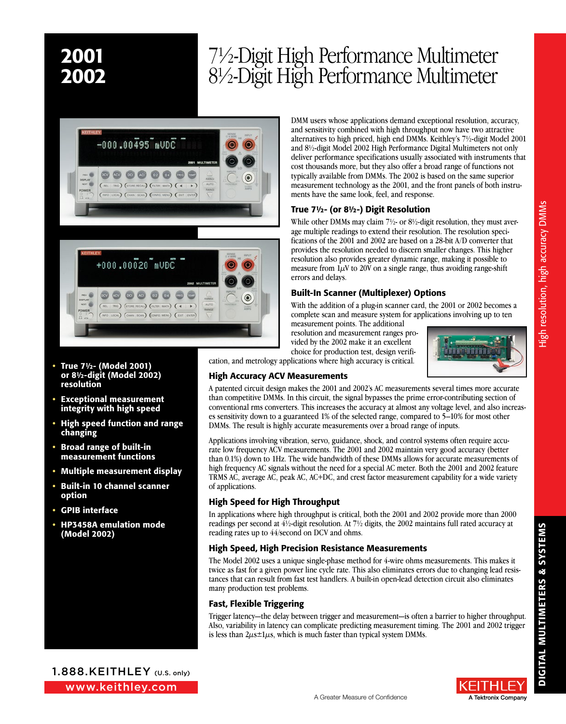### 2001 7½-Digit High Performance Multimeter<br>2002 8½-Digit High Performance Multimeter 8½-Digit High Performance Multimeter





- True 7½- (Model 2001) or 8½-digit (Model 2002) resolution
- Exceptional measurement integrity with high speed
- High speed function and range changing
- Broad range of built-in measurement functions
- Multiple measurement display
- Built-in 10 channel scanner option
- GPIB interface
- HP3458A emulation mode (Model 2002)

DMM users whose applications demand exceptional resolution, accuracy, and sensitivity combined with high throughput now have two attractive alternatives to high priced, high end DMMs. Keithley's 7½-digit Model 2001 and 8½-digit Model 2002 High Performance Digital Multimeters not only deliver performance specifications usually associated with instruments that cost thousands more, but they also offer a broad range of functions not typically available from DMMs. The 2002 is based on the same superior measurement technology as the 2001, and the front panels of both instruments have the same look, feel, and response.

### True 7½- (or 8½-) Digit Resolution

While other DMMs may claim 7<sup>1</sup>/<sub>2</sub>- or 8<sup>1</sup>/<sub>2</sub>-digit resolution, they must average multiple readings to extend their resolution. The resolution specifications of the 2001 and 2002 are based on a 28-bit A/D converter that provides the resolution needed to discern smaller changes. This higher resolution also provides greater dynamic range, making it possible to measure from  $1\mu$ V to 20V on a single range, thus avoiding range-shift errors and delays.

### Built-In Scanner (Multiplexer) Options

With the addition of a plug-in scanner card, the 2001 or 2002 becomes a complete scan and measure system for applications involving up to ten

measurement points. The additional resolution and measurement ranges provided by the 2002 make it an excellent choice for production test, design verifi-



cation, and metrology applications where high accuracy is critical.

### High Accuracy ACV Measurements

A patented circuit design makes the 2001 and 2002's AC measurements several times more accurate than competitive DMMs. In this circuit, the signal bypasses the prime error-contributing section of conventional rms converters. This increases the accuracy at almost any voltage level, and also increases sensitivity down to a guaranteed 1% of the selected range, compared to 5–10% for most other DMMs. The result is highly accurate measurements over a broad range of inputs.

Applications involving vibration, servo, guidance, shock, and control systems often require accurate low frequency ACV measurements. The 2001 and 2002 maintain very good accuracy (better than 0.1%) down to 1Hz. The wide bandwidth of these DMMs allows for accurate measurements of high frequency AC signals without the need for a special AC meter. Both the 2001 and 2002 feature TRMS AC, average AC, peak AC, AC+DC, and crest factor measurement capability for a wide variety of applications.

### High Speed for High Throughput

In applications where high throughput is critical, both the 2001 and 2002 provide more than 2000 readings per second at 4½-digit resolution. At 7½ digits, the 2002 maintains full rated accuracy at reading rates up to 44/second on DCV and ohms.

### High Speed, High Precision Resistance Measurements

The Model 2002 uses a unique single-phase method for 4-wire ohms measurements. This makes it twice as fast for a given power line cycle rate. This also eliminates errors due to changing lead resistances that can result from fast test handlers. A built-in open-lead detection circuit also eliminates many production test problems.

### Fast, Flexible Triggering

Trigger latency—the delay between trigger and measurement—is often a barrier to higher throughput. Also, variability in latency can complicate predicting measurement timing. The 2001 and 2002 trigger is less than  $2\mu s \pm 1\mu s$ , which is much faster than typical system DMMs.

A Greater Measure of Confidence

www.keithley.com 1.888.KEITHLEY (U.S. only)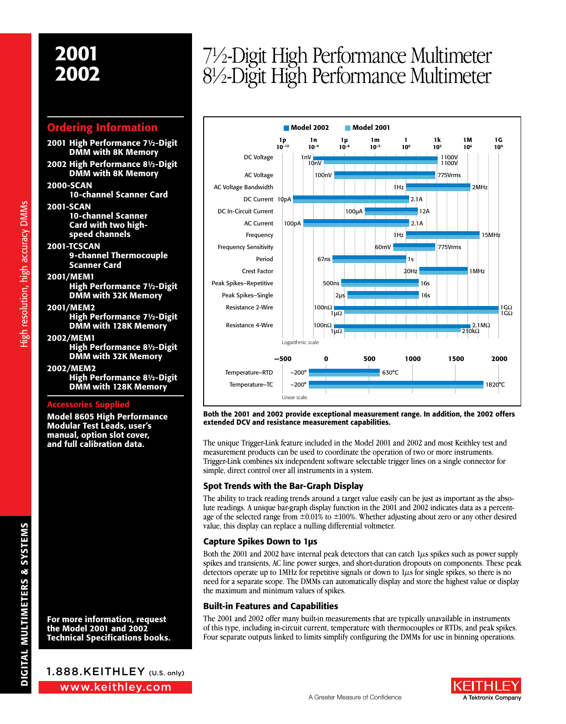### Ordering Information

- 2001 High Performance 7½-Digit DMM with 8K Memory
- 2002 High Performance 8½-Digit DMM with 8K Memory
- 2000-SCAN 10-channel Scanner Card
- 2001-SCAN 10-channel Scanner Card with two highspeed channels
- 2001-TCSCAN 9-channel Thermocouple Scanner Card

### 2001/MEM1

- High Performance 7½-Digit DMM with 32K Memory
- 2001/MEM2 High Performance 7½-Digit
	- DMM with 128K Memory
- 2002/MEM1 High Performance 8½-Digit DMM with 32K Memory

### 2002/MEM2 High Performance 8½-Digit DMM with 128K Memory

### Accessories Supplied

Model 8605 High Performance Modular Test Leads, user's manual, option slot cover, and full calibration data.

For more information, request the Model 2001 and 2002 Technical Specifications books.

<sup>2002</sup> 7½-Digit High Performance Multimeter 8½-Digit High Performance Multimeter



Both the 2001 and 2002 provide exceptional measurement range. In addition, the 2002 offers extended DCV and resistance measurement capabilities.

The unique Trigger-Link feature included in the Model 2001 and 2002 and most Keithley test and measurement products can be used to coordinate the operation of two or more instruments. Trigger-Link combines six independent software selectable trigger lines on a single connector for simple, direct control over all instruments in a system.

### Spot Trends with the Bar-Graph Display

The ability to track reading trends around a target value easily can be just as important as the absolute readings. A unique bar-graph display function in the 2001 and 2002 indicates data as a percentage of the selected range from  $\pm 0.01\%$  to  $\pm 100\%$ . Whether adjusting about zero or any other desired value, this display can replace a nulling differential voltmeter.

### Capture Spikes Down to 1µs

Both the 2001 and 2002 have internal peak detectors that can catch  $1\mu s$  spikes such as power supply spikes and transients, AC line power surges, and short-duration dropouts on components. These peak detectors operate up to  $1MHz$  for repetitive signals or down to  $1\mu s$  for single spikes, so there is no need for a separate scope. The DMMs can automatically display and store the highest value or display the maximum and minimum values of spikes.

### Built-in Features and Capabilities

The 2001 and 2002 offer many built-in measurements that are typically unavailable in instruments of this type, including in-circuit current, temperature with thermocouples or RTDs, and peak spikes. Four separate outputs linked to limits simplify configuring the DMMs for use in binning operations.



1.888.KEITHLEY (U.S. only)

www.keithley.com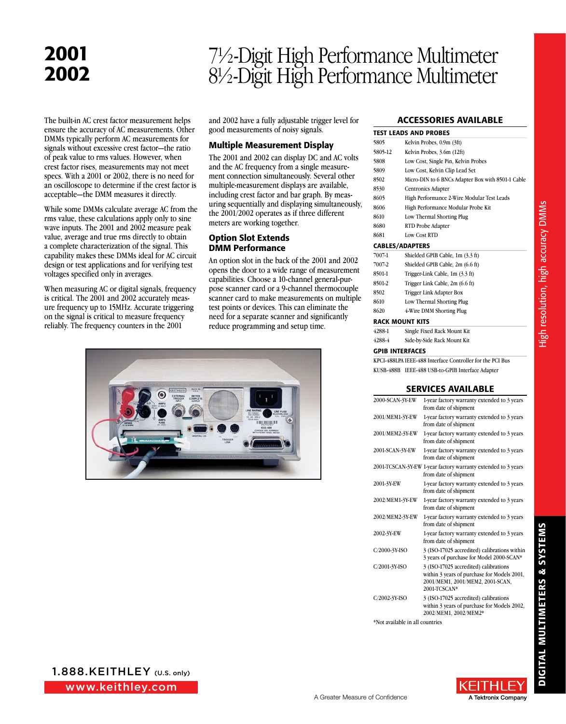# <sup>2002</sup> 7½-Digit High Performance Multimeter 8½-Digit High Performance Multimeter

The built-in AC crest factor measurement helps ensure the accuracy of AC measurements. Other DMMs typically perform AC measurements for signals without excessive crest factor—the ratio of peak value to rms values. However, when crest factor rises, measurements may not meet specs. With a 2001 or 2002, there is no need for an oscilloscope to determine if the crest factor is acceptable—the DMM measures it directly.

While some DMMs calculate average AC from the rms value, these calculations apply only to sine wave inputs. The 2001 and 2002 measure peak value, average and true rms directly to obtain a complete characterization of the signal. This capability makes these DMMs ideal for AC circuit design or test applications and for verifying test voltages specified only in averages.

When measuring AC or digital signals, frequency is critical. The 2001 and 2002 accurately measure frequency up to 15MHz. Accurate triggering on the signal is critical to measure frequency reliably. The frequency counters in the 2001

and 2002 have a fully adjustable trigger level for good measurements of noisy signals.

### Multiple Measurement Display

The 2001 and 2002 can display DC and AC volts and the AC frequency from a single measurement connection simultaneously. Several other multiple-measurement displays are available, including crest factor and bar graph. By measuring sequentially and displaying simultaneously, the 2001/2002 operates as if three different meters are working together.

### Option Slot Extends DMM Performance

An option slot in the back of the 2001 and 2002 opens the door to a wide range of measurement capabilities. Choose a 10-channel general-purpose scanner card or a 9-channel thermocouple scanner card to make measurements on multiple test points or devices. This can eliminate the need for a separate scanner and significantly reduce programming and setup time.



### **ACCESSORIES AVAILABLE**

|         | <b>TEST LEADS AND PROBES</b>                      |
|---------|---------------------------------------------------|
| 5805    | Kelvin Probes, 0.9m (3ft)                         |
| 5805-12 | Kelvin Probes, 3.6m (12ft)                        |
| 5808    | Low Cost, Single Pin, Kelvin Probes               |
| 5809    | Low Cost, Kelvin Clip Lead Set                    |
| 8502    | Micro-DIN to 6 BNCs Adapter Box with 8501-1 Cable |
| 8530    | Centronics Adapter                                |
| 8605    | High Performance 2-Wire Modular Test Leads        |
| 8606    | High Performance Modular Probe Kit                |
| 8610    | Low Thermal Shorting Plug                         |
| 8680    | RTD Probe Adapter                                 |
| 8681    | Low Cost RTD                                      |
|         | <b>CABLES/ADAPTERS</b>                            |
| 7007-1  | Shielded GPIB Cable, 1m (3.3 ft)                  |
| 7007-2  | Shielded GPIB Cable, 2m (6.6 ft)                  |
| 8501-1  | Trigger-Link Cable, 1m (3.3 ft)                   |
| 8501-2  | Trigger Link Cable, 2m (6.6 ft)                   |
| 8502    | Trigger Link Adapter Box                          |
| 8610    | Low Thermal Shorting Plug                         |
| 8620    | 4-Wire DMM Shorting Plug                          |
|         | <b>RACK MOUNT KITS</b>                            |
| 4288-1  | Single Fixed Rack Mount Kit                       |

4288-4 Side-by-Side Rack Mount Kit GPIB Interfaces KPCI-488LPA IEEE-488 Interface Controller for the PCI Bus

KUSB-488B IEEE-488 USB-to-GPIB Interface Adapter

### Services Available

| 2000-SCAN-3Y-EW | 1-year factory warranty extended to 3 years<br>from date of shipment                                                                     |
|-----------------|------------------------------------------------------------------------------------------------------------------------------------------|
| 2001/MEM1-3Y-EW | 1-year factory warranty extended to 3 years<br>from date of shipment                                                                     |
| 2001/MEM2-3Y-EW | 1-year factory warranty extended to 3 years<br>from date of shipment                                                                     |
| 2001-SCAN-3Y-EW | 1-year factory warranty extended to 3 years<br>from date of shipment                                                                     |
|                 | 2001-TCSCAN-3Y-EW 1-year factory warranty extended to 3 years<br>from date of shipment                                                   |
| 2001-3Y-EW      | 1-year factory warranty extended to 3 years<br>from date of shipment                                                                     |
| 2002/MEM1-3Y-EW | 1-year factory warranty extended to 3 years<br>from date of shipment                                                                     |
| 2002/MEM2-3Y-EW | 1-year factory warranty extended to 3 years<br>from date of shipment                                                                     |
| 2002-3Y-EW      | 1-year factory warranty extended to 3 years<br>from date of shipment                                                                     |
| C/2000-3Y-ISO   | 3 (ISO-17025 accredited) calibrations within<br>3 years of purchase for Model 2000-SCAN*                                                 |
| C/2001-3Y-ISO   | 3 (ISO-17025 accredited) calibrations<br>within 3 years of purchase for Models 2001,<br>2001/MEM1, 2001/MEM2, 2001-SCAN,<br>2001-TCSCAN* |
| C/2002-3Y-ISO   | 3 (ISO-17025 accredited) calibrations<br>within 3 years of purchase for Models 2002,<br>2002/MEM1, 2002/MEM2*                            |

\*Not available in all countries

**DIGITAL MULTIMETERS & SYSTEMS** DIGITAL MULTIMETERS & SYSTEMS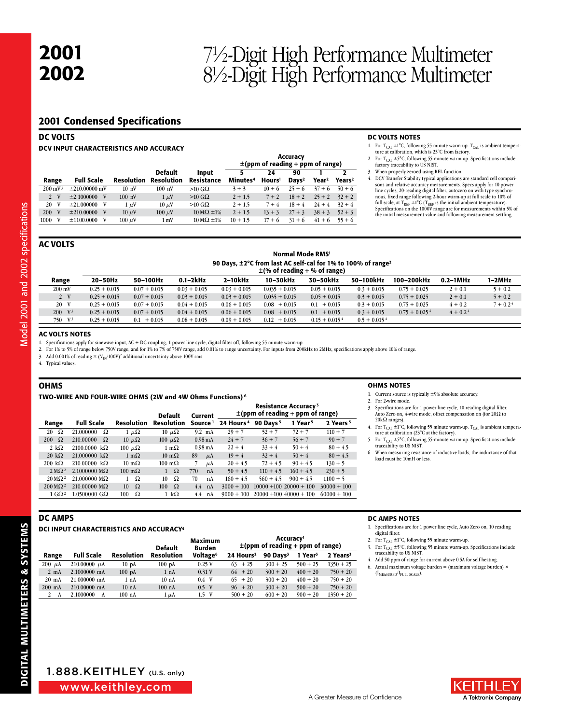# <sup>2002</sup> 7½-Digit High Performance Multimeter 8½-Digit High Performance Multimeter

### 2001 Condensed Specifications

|                    | <b>DC VOLTS</b><br>DCV INPUT CHARACTERISTICS AND ACCURACY |                   |     |                  |                                     |                              |                                                   |                          |                         |                   |                         |  |  |
|--------------------|-----------------------------------------------------------|-------------------|-----|------------------|-------------------------------------|------------------------------|---------------------------------------------------|--------------------------|-------------------------|-------------------|-------------------------|--|--|
|                    |                                                           |                   |     |                  |                                     |                              | Accuracy<br>$\pm$ (ppm of reading + ppm of range) |                          |                         |                   |                         |  |  |
| Range              |                                                           | <b>Full Scale</b> |     | Resolution       | <b>Default</b><br><b>Resolution</b> | Input<br>Resistance          | 5<br>Minutes <sup>4</sup>                         | 24<br>Hours <sup>1</sup> | 90<br>Days <sup>2</sup> | Year <sup>2</sup> | ,<br>Years <sup>2</sup> |  |  |
| $200 \text{ mV}^3$ |                                                           | $±210.00000$ mV   |     | 10 <sub>nV</sub> | 100 nV                              | $>10$ G $\Omega$             | $3 + 3$                                           | $10 + 6$                 | $25 + 6$                | $37 + 6$          | $50 + 6$                |  |  |
| $2 \sqrt{V}$       |                                                           | $\pm 2.1000000$   | V   | $100$ nV         | $1 \mu V$                           | $>10$ G $\Omega$             | $2 + 1.5$                                         | $7 + 2$                  | $18 + 2$                | $25 + 2$          | $32 + 2$                |  |  |
| 20                 | V                                                         | ±21.000000        | - V | $1 \mu V$        | $10 \mu$ V                          | $>10$ GQ                     | $2 + 1.5$                                         | $7 + 4$                  | $18 + 4$                | $24 + 4$          | $32 + 4$                |  |  |
| 200                | V                                                         | ±210,00000        | V   | $10 \mu V$       | $100 \mu V$                         | $10 \text{ M}\Omega \pm 1\%$ | $2 + 1.5$                                         | $13 + 3$                 | $27 + 3$                | $38 + 3$          | $52 + 3$                |  |  |
| 1000               | V                                                         | ±1100.0000        | V   | $100 \mu$ V      | 1 <sub>mV</sub>                     | $10 \text{ M}\Omega \pm 1\%$ | $10 + 1.5$                                        | $17 + 6$                 | $31 + 6$                | $41 + 6$          | $55 + 6$                |  |  |

#### DC VOLTS NOTES

- 1. For  $T_{\text{CAL}} \pm 1^{\circ}$ C, following 55-minute warm-up.  $T_{\text{CAL}}$  is ambient tempera-<br>ture at calibration, which is 23°C from factory.
- 2. For  $T_{\text{CAL}} \pm 5^{\circ}C$ , following 55-minute warm-up. Specifications include factory traceability to US NIST.
- When properly zeroed using REL function.
- DCV Transfer Stability typical applications are standard cell comparisons and relative accuracy measurements. Specs apply for 10 power line cycles, 20-reading digital filter, autozero on with type synchro-<br>nous, fixed range following 2-hour warm-up at full scale to 10% of<br>full scale, at T<sub>REF</sub> ±1<sup>°</sup>C (T<sub>REF</sub> is the initial ambient temperature). Specifications on the 1000V range are for measurements within 5% of the initial measurement value and following measurement settling.

### **AC VOLTS**

Model 2001 and 2002 specifications Model 2001 and 2002 specifications

| Normal Mode RMS <sup>1</sup>                                             |
|--------------------------------------------------------------------------|
| 90 Davs, ±2°C from last AC self-cal for 1% to 100% of range <sup>2</sup> |
| $\pm$ (% of reading + % of range)                                        |

| Range              | $20-50$ Hz     | 50-100Hz        | $0.1 - 2k$ Hz  | $2-10kHz$      | 10-30kHz         | 30-50kHz                    | 50-100kHz                  | 100-200kHz                  | $0.2-1MHz$ | 1–2MHz     |  |
|--------------------|----------------|-----------------|----------------|----------------|------------------|-----------------------------|----------------------------|-----------------------------|------------|------------|--|
| $200 \text{ mV}$   | $0.25 + 0.015$ | $0.07 + 0.015$  | $0.03 + 0.015$ | $0.03 + 0.015$ | $0.035 + 0.015$  | $0.05 + 0.015$              | $0.3 + 0.015$              | $0.75 + 0.025$              | $2 + 0.1$  | $5 + 0.2$  |  |
| $2 \sqrt{V}$       | $0.25 + 0.015$ | $0.07 + 0.015$  | $0.03 + 0.015$ | $0.03 + 0.015$ | $0.035 + 0.015$  | $0.05 + 0.015$              | $0.3 + 0.015$              | $0.75 + 0.025$              | $2 + 0.1$  | $5 + 0.2$  |  |
| 20 V               | $0.25 + 0.015$ | $0.07 + 0.015$  | $0.04 + 0.015$ | $0.06 + 0.015$ | $0.08 + 0.015$   | $0.1 + 0.015$               | $0.3 + 0.015$              | $0.75 + 0.025$              | $4 + 0.2$  | $7 + 0.24$ |  |
| $200 \text{ V}^3$  | $0.25 + 0.015$ | $0.07 + 0.015$  | $0.04 + 0.015$ | $0.06 + 0.015$ | $0.08 + 0.015$   | $0.1 + 0.015$               | $0.3 + 0.015$              | $0.75 + 0.025$ <sup>4</sup> | $4 + 0.24$ |            |  |
| 750 V <sup>3</sup> | $0.25 + 0.015$ | $+0.015$<br>0.1 | $0.08 + 0.015$ | $0.09 + 0.015$ | $+0.015$<br>0.12 | $0.15 + 0.015$ <sup>4</sup> | $0.5 + 0.015$ <sup>4</sup> |                             |            |            |  |
|                    |                |                 |                |                |                  |                             |                            |                             |            |            |  |

### **AC VOLTS NOTES**

1. Specifications apply for sinewave input, AC + DC coupling, 1 power line cycle, digital filter off, following 55 minute warm-up.

2. For 1% to 5% of range below 750V range, and for 1% to 7% of 750V range, add 0.01% to range uncertainty. For inputs from 200kHz to 2MHz, specifications apply above 10% of range.

3. Add 0.001% of reading  $\times$  (V<sub>IN</sub>/100V)<sup>2</sup> additional uncertainty above 100V rms.

4. Typical values.

### OHMS

TWO-WIRE AND FOUR-WIRE OHMS (2W and 4W Ohms Functions) 6

|                            |                             |                       | <b>Default</b>        | <b>Current</b>        | <b>Resistance Accuracy<sup>3</sup></b><br>$\pm$ (ppm of reading + ppm of range) |                      |                           |                      |
|----------------------------|-----------------------------|-----------------------|-----------------------|-----------------------|---------------------------------------------------------------------------------|----------------------|---------------------------|----------------------|
| Range                      | <b>Full Scale</b>           | Resolution            | <b>Resolution</b>     | Source <sup>1</sup>   | 24 Hours <sup>4</sup>                                                           | 90 Days <sup>5</sup> | Year <sup>5</sup>         | 2 Years <sup>5</sup> |
| Ω<br>20                    | 21.000000<br>Ω              | $1 \mu\Omega$         | $10 \mu\Omega$        | $9.2 \text{ mA}$      | $29 + 7$                                                                        | $52 + 7$             | $72 + 7$                  | $110 + 7$            |
| $200 \Omega$               | 210.00000<br>Ω              | $10 \mu\Omega$        | 100 $\mu\Omega$       | $0.98 \text{ mA}$     | $24 + 7$                                                                        | $36 + 7$             | $56 + 7$                  | $90 + 7$             |
| 2 k $\Omega$               | $2100.0000 \text{ k}\Omega$ | 100 $\mu\Omega$       | $1 \text{ m}\Omega$   | $0.98 \text{ mA}$     | $22 + 4$                                                                        | $33 + 4$             | $50 + 4$                  | $80 + 4.5$           |
| $20 \text{ k}\Omega$       | $21.000000 \text{ k}\Omega$ | $1 \text{ m}\Omega$   | $10 \text{ m}\Omega$  | 89<br>$\mu$ A         | $19 + 4$                                                                        | $32 + 4$             | $50 + 4$                  | $80 + 4.5$           |
| $200 k\Omega$              | $210.00000 \text{ k}\Omega$ | $10 \text{ m}\Omega$  | $100 \text{ m}\Omega$ | μA                    | $20 + 4.5$                                                                      | $72 + 4.5$           | $90 + 4.5$                | $130 + 5$            |
| $2 \,\mathrm{M} \Omega^2$  | $2.1000000 \text{ M}\Omega$ | $100 \text{ m}\Omega$ | Ω<br>$\mathbf{1}$     | 770<br>nA             | $50 + 4.5$                                                                      | $110 + 4.5$          | $160 + 4.5$               | $230 + 5$            |
| $20 \,\mathrm{M}\Omega^2$  | $21.000000$ M $\Omega$      | Ω                     | Ω<br>10               | 70<br>n <sub>A</sub>  | $160 + 4.5$                                                                     | $560 + 4.5$          | $900 + 4.5$               | $1100 + 5$           |
| $200 \,\mathrm{M}\Omega^2$ | $210.00000 \text{ M}\Omega$ | $\Omega$<br>10        | $\Omega$<br>100       | 4.4<br>n <sub>A</sub> | $3000 + 100$                                                                    |                      | $10000 + 100$ 20000 + 100 | $30000 + 100$        |
| $1 \text{ G}\Omega^2$      | $1.0500000$ G $\Omega$      | Ω<br>100              | 1 k $\Omega$          | 4.4<br>nA             | $9000 + 100$                                                                    |                      | $20000 + 100$ 40000 + 100 | $60000 + 100$        |
|                            |                             |                       |                       |                       |                                                                                 |                      |                           |                      |

#### OHMS NOTES

- 1. Current source is typically ±9% absolute accuracy.
- 2. For 2-wire mode.
- 3. Specifications are for 1 power line cycle, 10 reading digital filter, Auto Zero on, 4-wire mode, offset compensation on (for  $20\Omega$  to  $20k\Omega$  ranges).
- 4. For  $T_{CAL} \pm 1^{\circ}C$ , following 55 minute warm-up.  $T_{CAL}$  is ambient temperature at calibration (23°C at the factory).
- 5. For  $T_{\text{CAL}}$  ±5°C, following 55-minute warm-up. Specifications include traceability to US NIST.
- 6. When measuring resistance of inductive loads, the inductance of that load must be 10mH or less.

### DCI INPUT CHARACTERISTICS AND ACCURACY<sup>4</sup>

|                 |                   |                   | <b>Default</b>    | Maximum<br>Burden    | Accuracy <sup>1</sup><br>$\pm$ (ppm of reading + ppm of range) |                        |                     |                      |
|-----------------|-------------------|-------------------|-------------------|----------------------|----------------------------------------------------------------|------------------------|---------------------|----------------------|
| Range           | <b>Full Scale</b> | Resolution        | <b>Resolution</b> | Voltage <sup>6</sup> | 24 Hours <sup>2</sup>                                          | $90$ Davs <sup>3</sup> | 1 Year <sup>3</sup> | 2 Years <sup>3</sup> |
| $200 \mu A$     | 210.00000 $\mu$ A | 10 <sub>pA</sub>  | 100pA             | 0.25V                | $63 + 25$                                                      | $300 + 25$             | $500 + 25$          | $1350 + 25$          |
| $2 \text{ mA}$  | 2.1000000 mA      | 100 <sub>pA</sub> | 1 nA              | 0.31V                | $64 + 20$                                                      | $300 + 20$             | $400 + 20$          | $750 + 20$           |
| $20 \text{ mA}$ | 21.000000 mA      | 1 nA              | 10 <sub>nA</sub>  | $0.4$ V              | $65 + 20$                                                      | $300 + 20$             | $400 + 20$          | $750 + 20$           |
| $200$ mA        | 210,00000 mA      | 10 <sub>nA</sub>  | $100$ nA          | $0.5$ V              | $96 + 20$                                                      | $300 + 20$             | $500 + 20$          | $750 + 20$           |
| 2<br>A          | 2.1000000<br>A    | $100$ nA          | $1 \mu A$         | $1.5 \text{ V}$      | $500 + 20$                                                     | $600 + 20$             | $900 + 20$          | $1350 + 20$          |

### DC AMPS NOTES

- 1. Specifications are for 1 power line cycle, Auto Zero on, 10 reading digital filter.
- 2. For  $T_{\text{CAL}}$   $\pm 1^{\circ}$ C, following 55 minute warm-up.
- 3. For  $T_{\text{CAL}} \pm 5^{\circ}$ C, following 55 minute warm-up. Specifications include traceability to US NIST.
- 4. Add 50 ppm of range for current above 0.5A for self heating. 6. Actual maximum voltage burden =  $(maximum$  voltage burden)  $\times$  $(I<sub>MEASURED</sub>/I<sub>FLUL SCALE</sub>).$

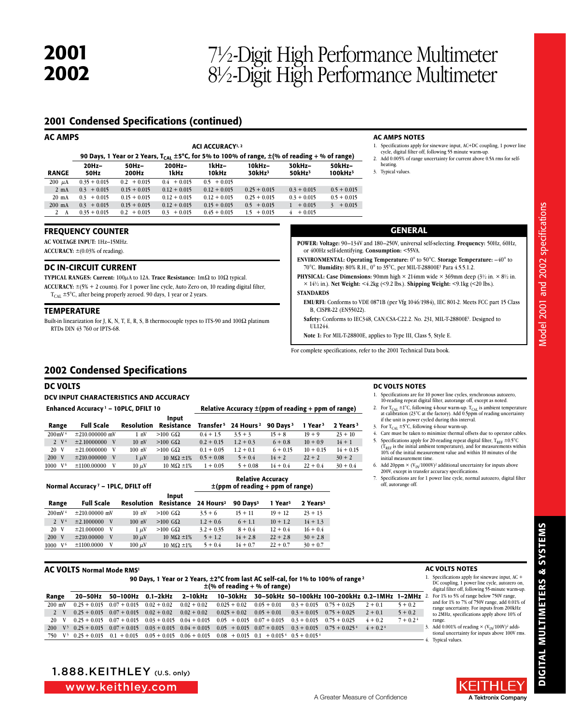## <sup>2002</sup> 7½-Digit High Performance Multimeter 8½-Digit High Performance Multimeter

### 2001 Condensed Specifications (continued)

| <b>AC AMPS</b>  |                 |                                                                                                                   |                                     |                |                                                                                                                                                                                                                |                                 |                               | <b>AC AMPS NOTES</b>           |
|-----------------|-----------------|-------------------------------------------------------------------------------------------------------------------|-------------------------------------|----------------|----------------------------------------------------------------------------------------------------------------------------------------------------------------------------------------------------------------|---------------------------------|-------------------------------|--------------------------------|
|                 |                 | 90 Days, 1 Year or 2 Years, $T_{CAL} \pm 5^{\circ}C$ , for 5% to 100% of range, $\pm$ (% of reading + % of range) | <b>ACI ACCURACY</b> <sup>1, 2</sup> |                | 1. Specifications apply for sinewave input, AC+DC coupling, 1 power line<br>cycle, digital filter off, following 55 minute warm-up.<br>2. Add 0.005% of range uncertainty for current above 0.5A rms for self- |                                 |                               |                                |
| <b>RANGE</b>    | $20Hz-$<br>50Hz | $50Hz-$<br>200Hz                                                                                                  | 200Hz-<br>1kHz                      | 1kHz-<br>10kHz | 10kHz-<br>30kHz <sup>3</sup>                                                                                                                                                                                   | $30kHz -$<br>50kHz <sup>3</sup> | 50kHz-<br>100kHz <sup>3</sup> | heating.<br>3. Typical values. |
| $200 \mu A$     | $0.35 + 0.015$  | $0.2 + 0.015$                                                                                                     | $0.4 + 0.015$                       | $0.5 + 0.015$  |                                                                                                                                                                                                                |                                 |                               |                                |
| $2 \text{ mA}$  | $0.3 + 0.015$   | $0.15 + 0.015$                                                                                                    | $0.12 + 0.015$                      | $0.12 + 0.015$ | $0.25 + 0.015$                                                                                                                                                                                                 | $0.3 + 0.015$                   | $0.5 + 0.015$                 |                                |
| $20 \text{ mA}$ | $0.3 + 0.015$   | $0.15 + 0.015$                                                                                                    | $0.12 + 0.015$                      | $0.12 + 0.015$ | $0.25 + 0.015$                                                                                                                                                                                                 | $0.3 + 0.015$                   | $0.5 + 0.015$                 |                                |
| $200$ mA        | $0.3 + 0.015$   | $0.15 + 0.015$                                                                                                    | $0.12 + 0.015$                      | $0.15 + 0.015$ | $0.5 + 0.015$                                                                                                                                                                                                  | $1 + 0.015$                     | $3 + 0.015$                   |                                |
| 2 A             | $0.35 + 0.015$  | $0.2 + 0.015$                                                                                                     | $0.3 + 0.015$                       | $0.45 + 0.015$ | $1.5 + 0.015$                                                                                                                                                                                                  | $+0.015$<br>4                   |                               |                                |

### **FREQUENCY COUNTER**

**AC VOLTAGE INPUT: 1Hz-15MHz.** 

**ACCURACY:** ±(0.03% of reading).

### DC IN-CIRCUIT CURRENT

**TYPICAL RANGES: Current:**  $100\mu$ A to 12A. **Trace Resistance:**  $1\text{m}\Omega$  to  $10\Omega$  typical. **Accuracy:** ±(5% + 2 counts). For 1 power line cycle, Auto Zero on, 10 reading digital filter,  $T_{\rm CAL}$  ±5°C, after being properly zeroed. 90 days, 1 year or 2 years.

### **TEMPERATURE**

Built-in linearization for J, K, N, T, E, R, S, B thermocouple types to ITS-90 and 100 $\Omega$  platinum RTDs DIN 43 760 or IPTS-68.

### GENERAL

**POWER: Voltage:** 90–134V and 180–250V, universal self-selecting. **Frequency:** 50Hz, 60Hz, or 400Hz self-identifying. **Consumption:** <55VA.

**ENVIRONMENTAL: Operating Temperature:** 0° to 50°C. **Storage Temperature:** –40° to 70°C. **Humidity:** 80% R.H., 0° to 35°C, per MIL-T-28800E1 Para 4.5.5.1.2.

**PHYSICAL: Case Dimensions:** 90mm high  $\times$  214mm wide  $\times$  369mm deep (3½ in.  $\times$  8½ in. × 14½ in.). **Net Weight:** <4.2kg (<9.2 lbs.). **Shipping Weight:** <9.1kg (<20 lbs.).

#### **STANDARDS**

**EMI/RFI:** Conforms to VDE 0871B (per Vfg 1046/1984), IEC 801-2. Meets FCC part 15 Class B, CISPR-22 (EN55022).

Safety: Conforms to IEC348, CAN/CSA-C22.2. No. 231, MIL-T-28800E<sup>1</sup>. Designed to UL1244.

**Note 1:** For MIL-T-28800E, applies to Type III, Class 5, Style E.

For complete specifications, refer to the 2001 Technical Data book.

### 2002 Condensed Specifications

### DC VOLTS

### DCV INPUT CHARACTERISTICS AND ACCURACY

|                      | Enhanced Accuracy <sup>1</sup> - 10PLC, DFILT 10 |                   |                     | Relative Accuracy $\pm$ (ppm of reading + ppm of range) |                       |                      |                     |                      |  |
|----------------------|--------------------------------------------------|-------------------|---------------------|---------------------------------------------------------|-----------------------|----------------------|---------------------|----------------------|--|
| Range                | <b>Full Scale</b>                                | <b>Resolution</b> | Input<br>Resistance | Transfer <sup>5</sup>                                   | 24 Hours <sup>2</sup> | 90 Days <sup>3</sup> | 1 Year <sup>3</sup> | 2 Years <sup>3</sup> |  |
| $200 \text{mV}^4$    | $\pm 210.000000$ mV                              | $1 \n mV$         | $>100$ GQ           | $0.4 + 1.5$                                             | $3.5 + 3$             | $15 + 8$             | $19 + 9$            | $23 + 10$            |  |
| $2 \mathrm{V}^4$     | $\pm 2.10000000$ V                               | 10 <sub>nV</sub>  | $>100$ G $\Omega$   | $0.2 + 0.15$                                            | $1.2 + 0.3$           | $6 + 0.8$            | $10 + 0.9$          | $14 + 1$             |  |
| 20 V                 | $±21.0000000$ V                                  | $100$ nV          | $>100$ GQ           | $0.1 + 0.05$                                            | $1.2 + 0.1$           | $6 + 0.15$           | $10 + 0.15$         | $14 + 0.15$          |  |
| 200 V                | ±210,000000<br>$\mathbf{V}$                      | $1 \mu V$         | 10 M $\Omega$ ±1%   | $0.5 + 0.08$                                            | $5 + 0.4$             | $14 + 2$             | $22 + 2$            | $30 + 2$             |  |
| $1000 \, \text{V}^6$ | ±1100.00000<br>V                                 | $10 \mu V$        | 10 M $\Omega$ ±1%   | $1 + 0.05$                                              | $5 + 0.08$            | $14 + 0.4$           | $22 + 0.4$          | $30 + 0.4$           |  |
|                      |                                                  |                   |                     |                                                         |                       |                      |                     |                      |  |

Normal Accuracy 7 – 1PLC, DFILT off

| Relative Accuracy                     |  |
|---------------------------------------|--|
| $\pm$ (ppm of reading + ppm of range) |  |

|                      |                      |                   | Input             |                       |                      |                     |                      |
|----------------------|----------------------|-------------------|-------------------|-----------------------|----------------------|---------------------|----------------------|
| Range                | <b>Full Scale</b>    | <b>Resolution</b> | Resistance        | 24 Hours <sup>2</sup> | 90 Davs <sup>3</sup> | 1 Year <sup>3</sup> | 2 Years <sup>3</sup> |
| $200 \text{mV}^4$    | $\pm 210,00000$ mV   | 10 <sub>nV</sub>  | $>100$ GQ         | $3.5 + 6$             | $15 + 11$            | $19 + 12$           | $23 + 13$            |
| $2 \sqrt{4}$         | $\pm 2.1000000$<br>V | 100 nV            | $>100$ GQ         | $1.2 + 0.6$           | $6 + 1.1$            | $10 + 1.2$          | $14 + 1.3$           |
| 20 V                 | ±21,000000<br>V      | $1 \mu V$         | $>100$ GQ         | $3.2 + 0.35$          | $8 + 0.4$            | $12 + 0.4$          | $16 + 0.4$           |
| 200                  | ±210,00000<br>V      | $10 \mu V$        | 10 M $\Omega$ ±1% | $5 + 1.2$             | $14 + 2.8$           | $22 + 2.8$          | $30 + 2.8$           |
| $1000 \, \text{V}^6$ | ±1100.0000           | $100 \mu V$       | 10 M $\Omega$ ±1% | $5 + 0.4$             | $14 + 0.7$           | $22 + 0.7$          | $30 + 0.7$           |

### AC VOLTS Normal Mode RMS1

|                  | 90 Days, 1 Year or 2 Years, $\pm 2^{\circ}$ C from last AC self-cal, for 1% to 100% of range 2<br>$\pm$ (% of reading + % of range) |                                                           |  |  |                                                                                                                                        |  |  |                                                                                          |            |            |  |  |
|------------------|-------------------------------------------------------------------------------------------------------------------------------------|-----------------------------------------------------------|--|--|----------------------------------------------------------------------------------------------------------------------------------------|--|--|------------------------------------------------------------------------------------------|------------|------------|--|--|
| Range            |                                                                                                                                     |                                                           |  |  |                                                                                                                                        |  |  | 20-50Hz 50-100Hz 0.1-2kHz 2-10kHz 10-30kHz 30-50kHz 50-100kHz 100-200kHz 0.2-1MHz 1-2MHz |            |            |  |  |
| $200 \text{ mV}$ |                                                                                                                                     | $0.25 + 0.015$ $0.07 + 0.015$ $0.02 + 0.02$ $0.02 + 0.02$ |  |  |                                                                                                                                        |  |  | $0.025 + 0.02$ $0.05 + 0.01$ $0.3 + 0.015$ $0.75 + 0.025$ $2 + 0.1$                      |            | $5 + 0.2$  |  |  |
| 2 V              |                                                                                                                                     | $0.25 + 0.015$ $0.07 + 0.015$ $0.02 + 0.02$ $0.02 + 0.02$ |  |  | $0.025 + 0.02$ $0.05 + 0.01$ $0.3 + 0.015$ $0.75 + 0.025$                                                                              |  |  |                                                                                          | $2 + 0.1$  | $5 + 0.2$  |  |  |
| 20 V             |                                                                                                                                     |                                                           |  |  | $0.25 + 0.015$ $0.07 + 0.015$ $0.03 + 0.015$ $0.04 + 0.015$ $0.05 + 0.015$ $0.07 + 0.015$ $0.3 + 0.015$ $0.75 + 0.025$                 |  |  |                                                                                          | $4 + 0.2$  | $7 + 0.24$ |  |  |
|                  |                                                                                                                                     |                                                           |  |  | 200 V <sup>3</sup> 0.25 + 0.015 0.07 + 0.015 0.03 + 0.015 0.04 + 0.015 0.05 + 0.015 0.07 + 0.015 0.3 + 0.015 0.75 + 0.025 <sup>4</sup> |  |  |                                                                                          | $4 + 0.24$ |            |  |  |
|                  |                                                                                                                                     |                                                           |  |  | $750 \quad V^3$ 0.25 + 0.015 0.1 + 0.015 0.05 + 0.015 0.06 + 0.015 0.08 + 0.015 0.1 + 0.015 <sup>4</sup> 0.5 + 0.015 <sup>4</sup>      |  |  |                                                                                          |            |            |  |  |



DC VOLTS NOTES

- 2. For  $T_{CAL} \pm 1^{\circ}C$ , following 4-hour warm-up.  $T_{CAL}$  is ambient temperature at calibration (23°C at the factory). Add 0.5ppm of reading uncertainty if the unit is power cycled during this interval.
- 3. For  $T_{\text{CAL}} \pm 5^{\circ}C$ , following 4-hour warm-up.
- 4. Care must be taken to minimize thermal offsets due to operator cables. 5. Specifications apply for 20-reading repeat digital filter,  $T_{REF} \pm 0.5^{\circ}C$  ( $T_{REF}$  is the initial ambient temperature), and for measurements within  $(T_{REF}$  is the initial ambient temperature), and for measurements within 10% of the initial measurement value and within 10 minutes of the
- initial measurement time. 6. Add 20ppm  $\times$  (V $_{\rm IN}/1000$ V) $^2$  additional uncertainty for inputs above 200V, except in transfer accuracy specifications.
- Specifications are for 1 power line cycle, normal autozero, digital filter off, autorange off.

**AC VOLTS NOTES** 

range.

4. Typical values.

1. Specifications apply for sinewave input, AC + DC coupling, 1 power line cycle, autozero on, digital filter off, following 55-minute warm-up. 2. For 1% to 5% of range below 750V range, and for 1% to 7% of 750V range, add 0.01% of range uncertainty. For inputs from 200kHz to 2MHz, specifications apply above 10% of

3. Add 0.001% of reading  $\times$  (V<sub>IN</sub>/100V)<sup>2</sup> additional uncertainty for inputs above 100V rms.



www.keithley.com

A Tektronix Company